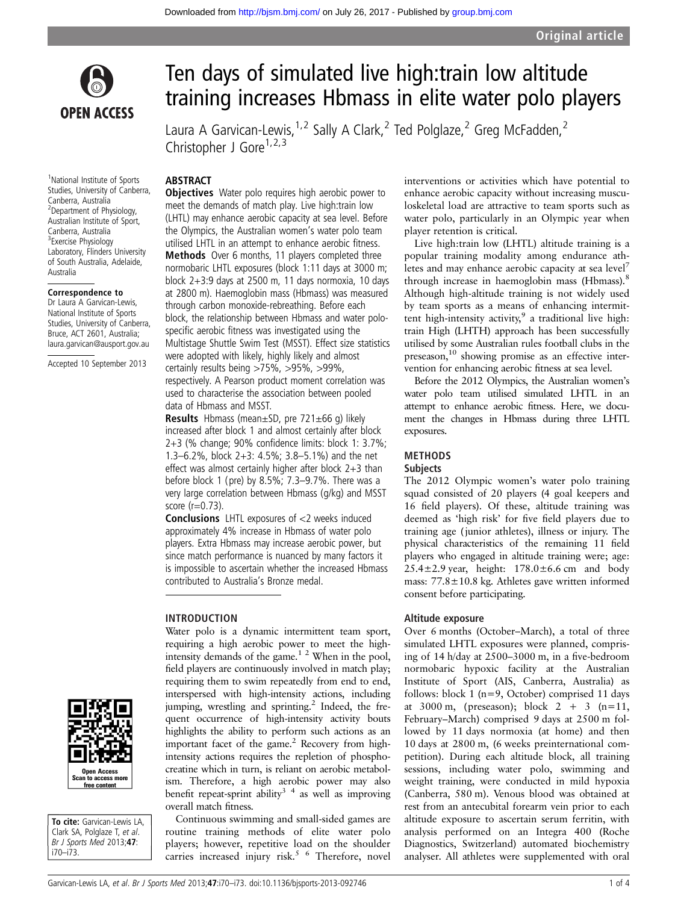

# Ten days of simulated live high:train low altitude training increases Hbmass in elite water polo players

Laura A Garvican-Lewis,  $1.2$  Sally A Clark, <sup>2</sup> Ted Polglaze, <sup>2</sup> Greg McFadden, <sup>2</sup> Christopher J Gore<sup>1,2,3</sup>

<sup>1</sup>National Institute of Sports Studies, University of Canberra, Canberra, Australia 2 Department of Physiology, Australian Institute of Sport, Canberra, Australia <sup>3</sup> Exercise Physiology Laboratory, Flinders University of South Australia, Adelaide, Australia

#### Correspondence to

Dr Laura A Garvican-Lewis, National Institute of Sports Studies, University of Canberra, Bruce, ACT 2601, Australia; laura.garvican@ausport.gov.au

Accepted 10 September 2013



To cite: Garvican-Lewis LA. Clark SA, Polglaze T, et al. Br J Sports Med 2013;47: i70–i73.

## ABSTRACT

**Objectives** Water polo requires high aerobic power to meet the demands of match play. Live high:train low (LHTL) may enhance aerobic capacity at sea level. Before the Olympics, the Australian women's water polo team utilised LHTL in an attempt to enhance aerobic fitness. Methods Over 6 months, 11 players completed three normobaric LHTL exposures (block 1:11 days at 3000 m; block 2+3:9 days at 2500 m, 11 days normoxia, 10 days at 2800 m). Haemoglobin mass (Hbmass) was measured through carbon monoxide-rebreathing. Before each block, the relationship between Hbmass and water polospecific aerobic fitness was investigated using the Multistage Shuttle Swim Test (MSST). Effect size statistics were adopted with likely, highly likely and almost certainly results being >75%, >95%, >99%, respectively. A Pearson product moment correlation was used to characterise the association between pooled data of Hbmass and MSST.

**Results** Hbmass (mean $\pm$ SD, pre 721 $\pm$ 66 g) likely increased after block 1 and almost certainly after block 2+3 (% change; 90% confidence limits: block 1: 3.7%; 1.3–6.2%, block 2+3: 4.5%; 3.8–5.1%) and the net effect was almost certainly higher after block 2+3 than before block 1 (pre) by 8.5%; 7.3–9.7%. There was a very large correlation between Hbmass (g/kg) and MSST score (r=0.73).

Conclusions LHTL exposures of <2 weeks induced approximately 4% increase in Hbmass of water polo players. Extra Hbmass may increase aerobic power, but since match performance is nuanced by many factors it is impossible to ascertain whether the increased Hbmass contributed to Australia's Bronze medal.

#### INTRODUCTION

Water polo is a dynamic intermittent team sport, requiring a high aerobic power to meet the highintensity demands of the game.<sup>1 2</sup> When in the pool, field players are continuously involved in match play; requiring them to swim repeatedly from end to end, interspersed with high-intensity actions, including jumping, wrestling and sprinting.<sup>2</sup> Indeed, the frequent occurrence of high-intensity activity bouts highlights the ability to perform such actions as an important facet of the game.<sup>2</sup> Recovery from highintensity actions requires the repletion of phosphocreatine which in turn, is reliant on aerobic metabolism. Therefore, a high aerobic power may also benefit repeat-sprint ability<sup>3</sup><sup>4</sup> as well as improving overall match fitness.

Continuous swimming and small-sided games are routine training methods of elite water polo players; however, repetitive load on the shoulder carries increased injury risk. $5/6$  Therefore, novel interventions or activities which have potential to enhance aerobic capacity without increasing musculoskeletal load are attractive to team sports such as water polo, particularly in an Olympic year when player retention is critical.

Live high:train low (LHTL) altitude training is a popular training modality among endurance athletes and may enhance aerobic capacity at sea level<sup>7</sup> through increase in haemoglobin mass (Hbmass).8 Although high-altitude training is not widely used by team sports as a means of enhancing intermittent high-intensity activity, $9$  a traditional live high: train High (LHTH) approach has been successfully utilised by some Australian rules football clubs in the preseason,<sup>10</sup> showing promise as an effective intervention for enhancing aerobic fitness at sea level.

Before the 2012 Olympics, the Australian women's water polo team utilised simulated LHTL in an attempt to enhance aerobic fitness. Here, we document the changes in Hbmass during three LHTL exposures.

#### METHODS

#### **Subjects**

The 2012 Olympic women's water polo training squad consisted of 20 players (4 goal keepers and 16 field players). Of these, altitude training was deemed as 'high risk' for five field players due to training age ( junior athletes), illness or injury. The physical characteristics of the remaining 11 field players who engaged in altitude training were; age:  $25.4 \pm 2.9$  year, height:  $178.0 \pm 6.6$  cm and body mass:  $77.8 \pm 10.8$  kg. Athletes gave written informed consent before participating.

#### Altitude exposure

Over 6 months (October–March), a total of three simulated LHTL exposures were planned, comprising of 14 h/day at 2500–3000 m, in a five-bedroom normobaric hypoxic facility at the Australian Institute of Sport (AIS, Canberra, Australia) as follows: block 1 (n=9, October) comprised 11 days at 3000 m, (preseason); block  $2 + 3$  (n=11, February–March) comprised 9 days at 2500 m followed by 11 days normoxia (at home) and then 10 days at 2800 m, (6 weeks preinternational competition). During each altitude block, all training sessions, including water polo, swimming and weight training, were conducted in mild hypoxia (Canberra, 580 m). Venous blood was obtained at rest from an antecubital forearm vein prior to each altitude exposure to ascertain serum ferritin, with analysis performed on an Integra 400 (Roche Diagnostics, Switzerland) automated biochemistry analyser. All athletes were supplemented with oral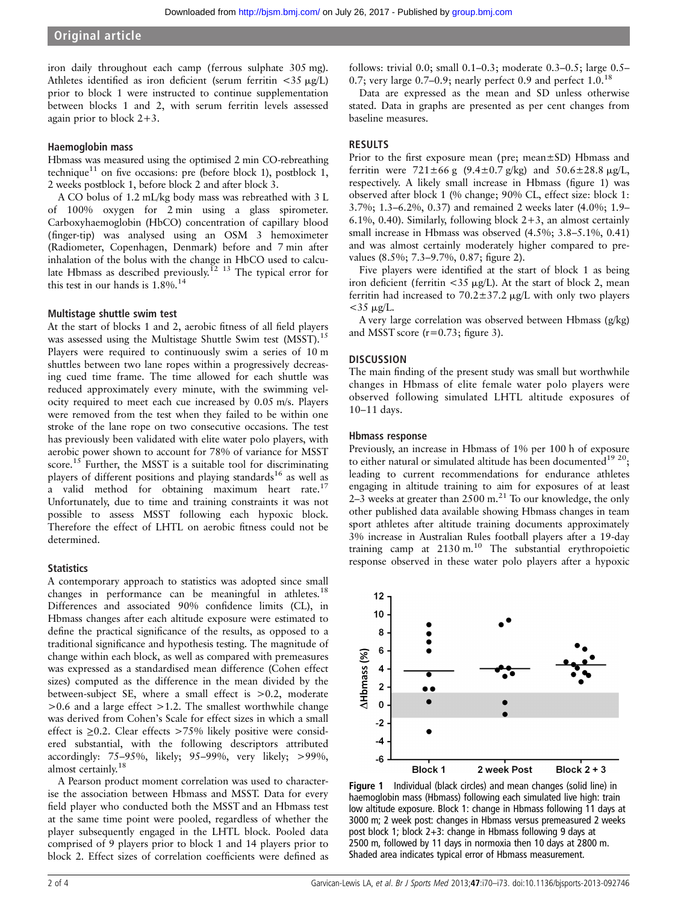iron daily throughout each camp (ferrous sulphate 305 mg). Athletes identified as iron deficient (serum ferritin  $\langle 35 \mu g/L \rangle$ prior to block 1 were instructed to continue supplementation between blocks 1 and 2, with serum ferritin levels assessed again prior to block  $2+3$ .

#### Haemoglobin mass

Hbmass was measured using the optimised 2 min CO-rebreathing technique<sup>11</sup> on five occasions: pre (before block 1), postblock 1, 2 weeks postblock 1, before block 2 and after block 3.

A CO bolus of 1.2 mL/kg body mass was rebreathed with 3 L of 100% oxygen for 2 min using a glass spirometer. Carboxyhaemoglobin (HbCO) concentration of capillary blood (finger-tip) was analysed using an OSM 3 hemoximeter (Radiometer, Copenhagen, Denmark) before and 7 min after inhalation of the bolus with the change in HbCO used to calculate Hbmass as described previously.<sup>12 13</sup> The typical error for this test in our hands is  $1.8\%$ .<sup>14</sup>

#### Multistage shuttle swim test

At the start of blocks 1 and 2, aerobic fitness of all field players was assessed using the Multistage Shuttle Swim test (MSST).<sup>15</sup> Players were required to continuously swim a series of 10 m shuttles between two lane ropes within a progressively decreasing cued time frame. The time allowed for each shuttle was reduced approximately every minute, with the swimming velocity required to meet each cue increased by 0.05 m/s. Players were removed from the test when they failed to be within one stroke of the lane rope on two consecutive occasions. The test has previously been validated with elite water polo players, with aerobic power shown to account for 78% of variance for MSST score.<sup>15</sup> Further, the MSST is a suitable tool for discriminating players of different positions and playing standards<sup>16</sup> as well as a valid method for obtaining maximum heart rate. $17$ Unfortunately, due to time and training constraints it was not possible to assess MSST following each hypoxic block. Therefore the effect of LHTL on aerobic fitness could not be determined.

#### **Statistics**

A contemporary approach to statistics was adopted since small changes in performance can be meaningful in athletes.<sup>18</sup> Differences and associated 90% confidence limits (CL), in Hbmass changes after each altitude exposure were estimated to define the practical significance of the results, as opposed to a traditional significance and hypothesis testing. The magnitude of change within each block, as well as compared with premeasures was expressed as a standardised mean difference (Cohen effect sizes) computed as the difference in the mean divided by the between-subject SE, where a small effect is >0.2, moderate  $>0.6$  and a large effect  $>1.2$ . The smallest worthwhile change was derived from Cohen's Scale for effect sizes in which a small effect is  $\geq 0.2$ . Clear effects  $> 75\%$  likely positive were considered substantial, with the following descriptors attributed accordingly: 75–95%, likely; 95–99%, very likely; >99%, almost certainly.<sup>18</sup>

A Pearson product moment correlation was used to characterise the association between Hbmass and MSST. Data for every field player who conducted both the MSST and an Hbmass test at the same time point were pooled, regardless of whether the player subsequently engaged in the LHTL block. Pooled data comprised of 9 players prior to block 1 and 14 players prior to block 2. Effect sizes of correlation coefficients were defined as

follows: trivial 0.0; small 0.1–0.3; moderate 0.3–0.5; large 0.5– 0.7; very large  $0.7-0.9$ ; nearly perfect 0.9 and perfect  $1.0$ .<sup>18</sup>

Data are expressed as the mean and SD unless otherwise stated. Data in graphs are presented as per cent changes from baseline measures.

#### RESULTS

Prior to the first exposure mean (pre; mean±SD) Hbmass and ferritin were  $721 \pm 66$  g  $(9.4 \pm 0.7 \text{ g/kg})$  and  $50.6 \pm 28.8 \text{ µg/L}$ , respectively. A likely small increase in Hbmass (figure 1) was observed after block 1 (% change; 90% CL, effect size: block 1: 3.7%; 1.3–6.2%, 0.37) and remained 2 weeks later (4.0%; 1.9– 6.1%, 0.40). Similarly, following block  $2+3$ , an almost certainly small increase in Hbmass was observed (4.5%; 3.8–5.1%, 0.41) and was almost certainly moderately higher compared to prevalues (8.5%; 7.3–9.7%, 0.87; figure 2).

Five players were identified at the start of block 1 as being iron deficient (ferritin  $\langle 35 \mu g/L \rangle$ ). At the start of block 2, mean ferritin had increased to  $70.2 \pm 37.2$   $\mu$ g/L with only two players  $<$ 35 µg/L.

A very large correlation was observed between Hbmass (g/kg) and MSST score  $(r=0.73;$  figure 3).

#### DISCUSSION

The main finding of the present study was small but worthwhile changes in Hbmass of elite female water polo players were observed following simulated LHTL altitude exposures of 10–11 days.

#### Hbmass response

Previously, an increase in Hbmass of 1% per 100 h of exposure to either natural or simulated altitude has been documented<sup>19 20</sup>; leading to current recommendations for endurance athletes engaging in altitude training to aim for exposures of at least 2–3 weeks at greater than  $2500$  m.<sup>21</sup> To our knowledge, the only other published data available showing Hbmass changes in team sport athletes after altitude training documents approximately 3% increase in Australian Rules football players after a 19-day training camp at  $2130 \text{ m}$ .<sup>10</sup> The substantial erythropoietic response observed in these water polo players after a hypoxic



Figure 1 Individual (black circles) and mean changes (solid line) in haemoglobin mass (Hbmass) following each simulated live high: train low altitude exposure. Block 1: change in Hbmass following 11 days at 3000 m; 2 week post: changes in Hbmass versus premeasured 2 weeks post block 1; block 2+3: change in Hbmass following 9 days at 2500 m, followed by 11 days in normoxia then 10 days at 2800 m. Shaded area indicates typical error of Hbmass measurement.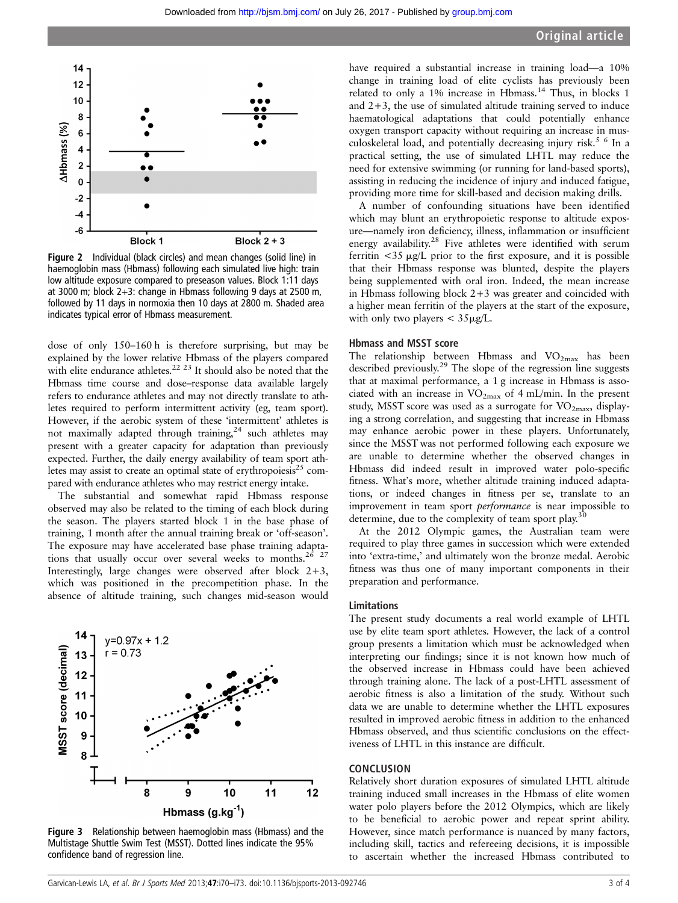

Figure 2 Individual (black circles) and mean changes (solid line) in haemoglobin mass (Hbmass) following each simulated live high: train low altitude exposure compared to preseason values. Block 1:11 days at 3000 m; block 2+3: change in Hbmass following 9 days at 2500 m, followed by 11 days in normoxia then 10 days at 2800 m. Shaded area indicates typical error of Hbmass measurement.

dose of only 150–160 h is therefore surprising, but may be explained by the lower relative Hbmass of the players compared with elite endurance athletes.<sup>22 23</sup> It should also be noted that the Hbmass time course and dose–response data available largely refers to endurance athletes and may not directly translate to athletes required to perform intermittent activity (eg, team sport). However, if the aerobic system of these 'intermittent' athletes is not maximally adapted through training,<sup>24</sup> such athletes may present with a greater capacity for adaptation than previously expected. Further, the daily energy availability of team sport athletes may assist to create an optimal state of erythropoiesis<sup>25</sup> compared with endurance athletes who may restrict energy intake.

The substantial and somewhat rapid Hbmass response observed may also be related to the timing of each block during the season. The players started block 1 in the base phase of training, 1 month after the annual training break or 'off-season'. The exposure may have accelerated base phase training adaptations that usually occur over several weeks to months.<sup>26 27</sup> Interestingly, large changes were observed after block 2+3, which was positioned in the precompetition phase. In the absence of altitude training, such changes mid-season would



Figure 3 Relationship between haemoglobin mass (Hbmass) and the Multistage Shuttle Swim Test (MSST). Dotted lines indicate the 95% confidence band of regression line.

have required a substantial increase in training load—a 10% change in training load of elite cyclists has previously been related to only a 1% increase in Hbmass.<sup>14</sup> Thus, in blocks 1 and 2+3, the use of simulated altitude training served to induce haematological adaptations that could potentially enhance oxygen transport capacity without requiring an increase in musculoskeletal load, and potentially decreasing injury risk.<sup>5 6</sup> In a practical setting, the use of simulated LHTL may reduce the need for extensive swimming (or running for land-based sports), assisting in reducing the incidence of injury and induced fatigue, providing more time for skill-based and decision making drills.

A number of confounding situations have been identified which may blunt an erythropoietic response to altitude exposure—namely iron deficiency, illness, inflammation or insufficient energy availability.<sup>28</sup> Five athletes were identified with serum ferritin  $\langle 35 \mu g/L \rangle$  prior to the first exposure, and it is possible that their Hbmass response was blunted, despite the players being supplemented with oral iron. Indeed, the mean increase in Hbmass following block 2+3 was greater and coincided with a higher mean ferritin of the players at the start of the exposure, with only two players  $<$  35  $\mu$ g/L.

#### Hbmass and MSST score

The relationship between Hbmass and  $VO_{2max}$  has been described previously.<sup>29</sup> The slope of the regression line suggests that at maximal performance, a 1 g increase in Hbmass is associated with an increase in  $VO_{2max}$  of 4 mL/min. In the present study, MSST score was used as a surrogate for  $VO_{2max}$ , displaying a strong correlation, and suggesting that increase in Hbmass may enhance aerobic power in these players. Unfortunately, since the MSST was not performed following each exposure we are unable to determine whether the observed changes in Hbmass did indeed result in improved water polo-specific fitness. What's more, whether altitude training induced adaptations, or indeed changes in fitness per se, translate to an improvement in team sport performance is near impossible to determine, due to the complexity of team sport play. $3^{3}$ 

At the 2012 Olympic games, the Australian team were required to play three games in succession which were extended into 'extra-time,' and ultimately won the bronze medal. Aerobic fitness was thus one of many important components in their preparation and performance.

#### Limitations

The present study documents a real world example of LHTL use by elite team sport athletes. However, the lack of a control group presents a limitation which must be acknowledged when interpreting our findings; since it is not known how much of the observed increase in Hbmass could have been achieved through training alone. The lack of a post-LHTL assessment of aerobic fitness is also a limitation of the study. Without such data we are unable to determine whether the LHTL exposures resulted in improved aerobic fitness in addition to the enhanced Hbmass observed, and thus scientific conclusions on the effectiveness of LHTL in this instance are difficult.

#### **CONCLUSION**

Relatively short duration exposures of simulated LHTL altitude training induced small increases in the Hbmass of elite women water polo players before the 2012 Olympics, which are likely to be beneficial to aerobic power and repeat sprint ability. However, since match performance is nuanced by many factors, including skill, tactics and refereeing decisions, it is impossible to ascertain whether the increased Hbmass contributed to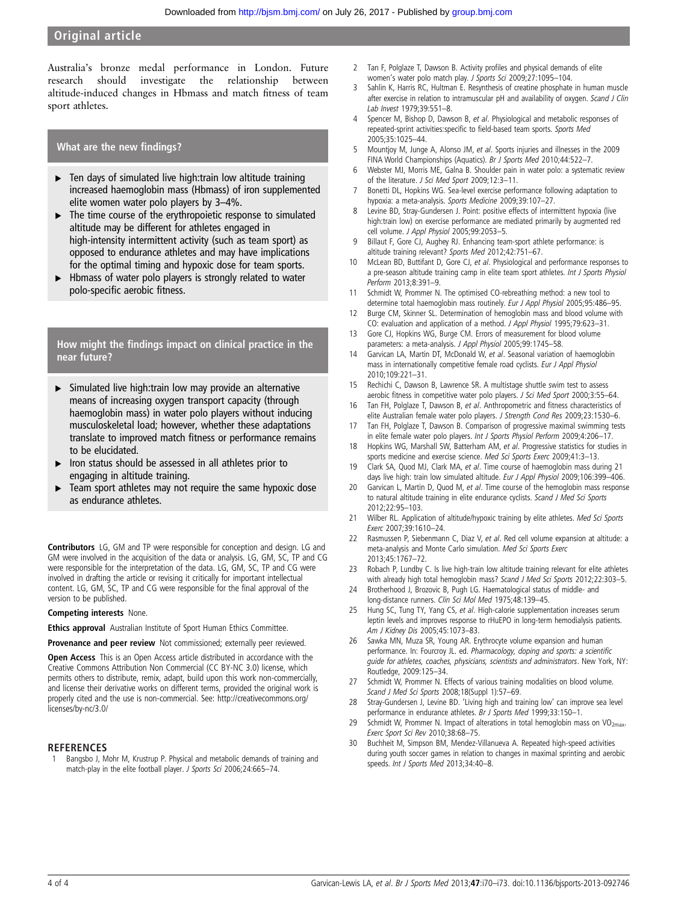### Original article

Australia's bronze medal performance in London. Future research should investigate the relationship between altitude-induced changes in Hbmass and match fitness of team sport athletes.

#### What are the new findings?

- ▶ Ten days of simulated live high:train low altitude training increased haemoglobin mass (Hbmass) of iron supplemented elite women water polo players by 3–4%.
- The time course of the erythropoietic response to simulated altitude may be different for athletes engaged in high-intensity intermittent activity (such as team sport) as opposed to endurance athletes and may have implications for the optimal timing and hypoxic dose for team sports.
- Hbmass of water polo players is strongly related to water polo-specific aerobic fitness.

How might the findings impact on clinical practice in the near future?

- ▸ Simulated live high:train low may provide an alternative means of increasing oxygen transport capacity (through haemoglobin mass) in water polo players without inducing musculoskeletal load; however, whether these adaptations translate to improved match fitness or performance remains to be elucidated.
- ▸ Iron status should be assessed in all athletes prior to engaging in altitude training.
- Team sport athletes may not require the same hypoxic dose as endurance athletes.

Contributors LG, GM and TP were responsible for conception and design. LG and GM were involved in the acquisition of the data or analysis. LG, GM, SC, TP and CG were responsible for the interpretation of the data. LG, GM, SC, TP and CG were involved in drafting the article or revising it critically for important intellectual content. LG, GM, SC, TP and CG were responsible for the final approval of the version to be published.

#### Competing interests None.

Ethics approval Australian Institute of Sport Human Ethics Committee.

**Provenance and peer review** Not commissioned; externally peer reviewed.

Open Access This is an Open Access article distributed in accordance with the Creative Commons Attribution Non Commercial (CC BY-NC 3.0) license, which permits others to distribute, remix, adapt, build upon this work non-commercially, and license their derivative works on different terms, provided the original work is properly cited and the use is non-commercial. See: [http://creativecommons.org/](http://creativecommons.org/licenses/by-nc/3.0/) [licenses/by-nc/3.0/](http://creativecommons.org/licenses/by-nc/3.0/)

#### REFERENCES

Bangsbo J, Mohr M, Krustrup P. Physical and metabolic demands of training and match-play in the elite football player. J Sports Sci 2006;24:665-74.

- 2 Tan F, Polglaze T, Dawson B. Activity profiles and physical demands of elite women's water polo match play. J Sports Sci 2009;27:1095–104.
- 3 Sahlin K, Harris RC, Hultman E. Resynthesis of creatine phosphate in human muscle after exercise in relation to intramuscular pH and availability of oxygen. Scand J Clin Lab Invest 1979;39:551–8.
- 4 Spencer M, Bishop D, Dawson B, et al. Physiological and metabolic responses of repeated-sprint activities:specific to field-based team sports. Sports Med 2005;35:1025–44.
- 5 Mountjoy M, Junge A, Alonso JM, et al. Sports injuries and illnesses in the 2009 FINA World Championships (Aquatics). Br J Sports Med 2010;44:522–7.
- 6 Webster MJ, Morris ME, Galna B. Shoulder pain in water polo: a systematic review of the literature. J Sci Med Sport 2009;12:3–11.
- 7 Bonetti DL, Hopkins WG. Sea-level exercise performance following adaptation to hypoxia: a meta-analysis. Sports Medicine 2009;39:107–27.
- 8 Levine BD, Stray-Gundersen J. Point: positive effects of intermittent hypoxia (live high:train low) on exercise performance are mediated primarily by augmented red cell volume. J Appl Physiol 2005;99:2053-5.
- 9 Billaut F, Gore CJ, Aughey RJ. Enhancing team-sport athlete performance: is altitude training relevant? Sports Med 2012;42:751–67.
- 10 McLean BD, Buttifant D, Gore CJ, et al. Physiological and performance responses to a pre-season altitude training camp in elite team sport athletes. Int J Sports Physiol Perform 2013;8:391–9.
- 11 Schmidt W, Prommer N. The optimised CO-rebreathing method: a new tool to determine total haemoglobin mass routinely. Eur J Appl Physiol 2005;95:486–95.
- 12 Burge CM, Skinner SL. Determination of hemoglobin mass and blood volume with CO: evaluation and application of a method. J Appl Physiol 1995;79:623–31.
- 13 Gore CJ, Hopkins WG, Burge CM. Errors of measurement for blood volume parameters: a meta-analysis. J Appl Physiol 2005;99:1745–58.
- 14 Garvican LA, Martin DT, McDonald W, et al. Seasonal variation of haemoglobin mass in internationally competitive female road cyclists. Eur J Appl Physiol 2010;109:221–31.
- 15 Rechichi C, Dawson B, Lawrence SR. A multistage shuttle swim test to assess aerobic fitness in competitive water polo players. J Sci Med Sport 2000;3:55-64.
- 16 Tan FH, Polglaze T, Dawson B, et al. Anthropometric and fitness characteristics of elite Australian female water polo players. J Strength Cond Res 2009;23:1530–6.
- 17 Tan FH, Polglaze T, Dawson B. Comparison of progressive maximal swimming tests in elite female water polo players. Int J Sports Physiol Perform 2009;4:206–17.
- 18 Hopkins WG, Marshall SW, Batterham AM, et al. Progressive statistics for studies in sports medicine and exercise science. Med Sci Sports Exerc 2009;41:3-13.
- 19 Clark SA, Quod MJ, Clark MA, et al. Time course of haemoglobin mass during 21 days live high: train low simulated altitude. Eur J Appl Physiol 2009;106:399-406.
- 20 Garvican L, Martin D, Quod M, et al. Time course of the hemoglobin mass response to natural altitude training in elite endurance cyclists. Scand J Med Sci Sports 2012;22:95–103.
- 21 Wilber RL. Application of altitude/hypoxic training by elite athletes. Med Sci Sports Exerc 2007;39:1610–24.
- 22 Rasmussen P, Siebenmann C, Diaz V, et al. Red cell volume expansion at altitude: a meta-analysis and Monte Carlo simulation. Med Sci Sports Exerc 2013;45:1767–72.
- 23 Robach P, Lundby C. Is live high-train low altitude training relevant for elite athletes with already high total hemoglobin mass? Scand J Med Sci Sports 2012;22:303-5.
- 24 Brotherhood J, Brozovic B, Pugh LG. Haematological status of middle- and long-distance runners. Clin Sci Mol Med 1975;48:139–45.
- 25 Hung SC, Tung TY, Yang CS, et al. High-calorie supplementation increases serum leptin levels and improves response to rHuEPO in long-term hemodialysis patients. Am J Kidney Dis 2005;45:1073–83.
- 26 Sawka MN, Muza SR, Young AR. Erythrocyte volume expansion and human performance. In: Fourcroy JL. ed. Pharmacology, doping and sports: a scientific guide for athletes, coaches, physicians, scientists and administrators. New York, NY: Routledge, 2009:125–34.
- 27 Schmidt W, Prommer N. Effects of various training modalities on blood volume. Scand J Med Sci Sports 2008;18(Suppl 1):57-69.
- 28 Stray-Gundersen J, Levine BD. 'Living high and training low' can improve sea level performance in endurance athletes. Br J Sports Med 1999;33:150-1.
- 29 Schmidt W, Prommer N. Impact of alterations in total hemoglobin mass on  $VO<sub>2max</sub>$ . Exerc Sport Sci Rev 2010;38:68–75.
- 30 Buchheit M, Simpson BM, Mendez-Villanueva A. Repeated high-speed activities during youth soccer games in relation to changes in maximal sprinting and aerobic speeds. Int J Sports Med 2013;34:40-8.